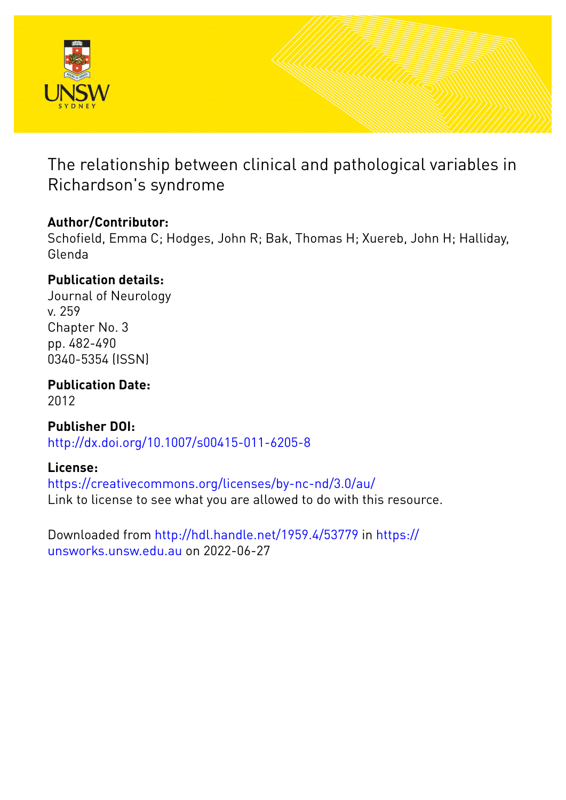

The relationship between clinical and pathological variables in Richardson's syndrome

## **Author/Contributor:**

Schofield, Emma C; Hodges, John R; Bak, Thomas H; Xuereb, John H; Halliday, Glenda

## **Publication details:**

Journal of Neurology v. 259 Chapter No. 3 pp. 482-490 0340-5354 (ISSN)

**Publication Date:** 2012

**Publisher DOI:** [http://dx.doi.org/10.1007/s00415-011-6205-8](http://dx.doi.org/http://dx.doi.org/10.1007/s00415-011-6205-8)

## **License:**

<https://creativecommons.org/licenses/by-nc-nd/3.0/au/> Link to license to see what you are allowed to do with this resource.

Downloaded from <http://hdl.handle.net/1959.4/53779> in [https://](https://unsworks.unsw.edu.au) [unsworks.unsw.edu.au](https://unsworks.unsw.edu.au) on 2022-06-27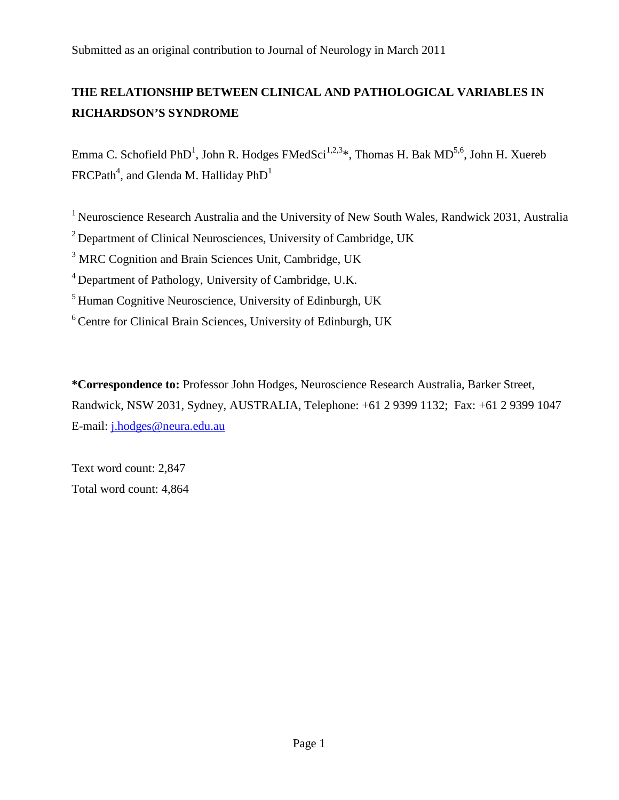Submitted as an original contribution to Journal of Neurology in March 2011

## **THE RELATIONSHIP BETWEEN CLINICAL AND PATHOLOGICAL VARIABLES IN RICHARDSON'S SYNDROME**

Emma C. Schofield PhD<sup>1</sup>, John R. Hodges FMedSci<sup>1,2,3</sup>\*, Thomas H. Bak MD<sup>5,6</sup>, John H. Xuereb  $\mathsf{FRCPath}^4,$  and Glenda M. Halliday  $\mathsf{PhD}^1$ 

<sup>1</sup> Neuroscience Research Australia and the University of New South Wales, Randwick 2031, Australia

2 Department of Clinical Neurosciences, University of Cambridge, UK

<sup>3</sup> MRC Cognition and Brain Sciences Unit, Cambridge, UK

4 Department of Pathology, University of Cambridge, U.K.

5 Human Cognitive Neuroscience, University of Edinburgh, UK

6 Centre for Clinical Brain Sciences, University of Edinburgh, UK

**\*Correspondence to:** Professor John Hodges, Neuroscience Research Australia, Barker Street, Randwick, NSW 2031, Sydney, AUSTRALIA, Telephone: +61 2 9399 1132; Fax: +61 2 9399 1047 E-mail: [j.hodges@neura.edu.au](mailto:g.halliday@neura.edu.au)

Text word count: 2,847 Total word count: 4,864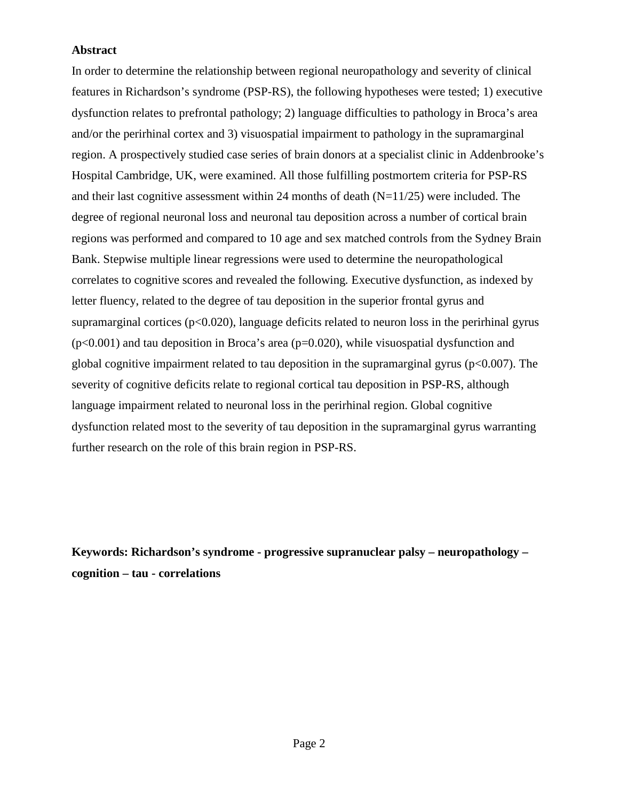### **Abstract**

In order to determine the relationship between regional neuropathology and severity of clinical features in Richardson's syndrome (PSP-RS), the following hypotheses were tested; 1) executive dysfunction relates to prefrontal pathology; 2) language difficulties to pathology in Broca's area and/or the perirhinal cortex and 3) visuospatial impairment to pathology in the supramarginal region. A prospectively studied case series of brain donors at a specialist clinic in Addenbrooke's Hospital Cambridge, UK, were examined. All those fulfilling postmortem criteria for PSP-RS and their last cognitive assessment within 24 months of death  $(N=11/25)$  were included. The degree of regional neuronal loss and neuronal tau deposition across a number of cortical brain regions was performed and compared to 10 age and sex matched controls from the Sydney Brain Bank. Stepwise multiple linear regressions were used to determine the neuropathological correlates to cognitive scores and revealed the following*.* Executive dysfunction, as indexed by letter fluency, related to the degree of tau deposition in the superior frontal gyrus and supramarginal cortices  $(p<0.020)$ , language deficits related to neuron loss in the perirhinal gyrus  $(p<0.001)$  and tau deposition in Broca's area ( $p=0.020$ ), while visuospatial dysfunction and global cognitive impairment related to tau deposition in the supramarginal gyrus ( $p<0.007$ ). The severity of cognitive deficits relate to regional cortical tau deposition in PSP-RS, although language impairment related to neuronal loss in the perirhinal region. Global cognitive dysfunction related most to the severity of tau deposition in the supramarginal gyrus warranting further research on the role of this brain region in PSP-RS.

**Keywords: Richardson's syndrome - progressive supranuclear palsy – neuropathology – cognition – tau - correlations**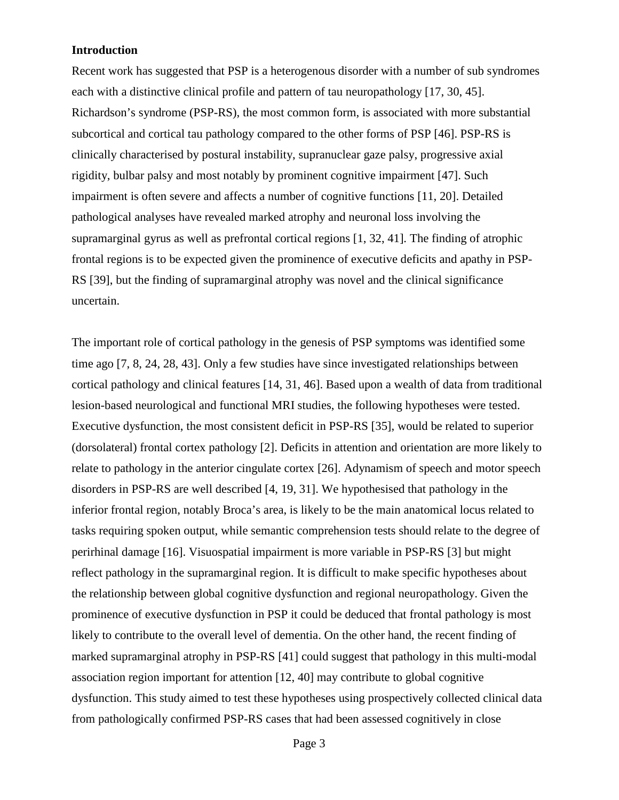### **Introduction**

Recent work has suggested that PSP is a heterogenous disorder with a number of sub syndromes each with a distinctive clinical profile and pattern of tau neuropathology [17, 30, 45]. Richardson's syndrome (PSP-RS), the most common form, is associated with more substantial subcortical and cortical tau pathology compared to the other forms of PSP [46]. PSP-RS is clinically characterised by postural instability, supranuclear gaze palsy, progressive axial rigidity, bulbar palsy and most notably by prominent cognitive impairment [47]. Such impairment is often severe and affects a number of cognitive functions [11, 20]. Detailed pathological analyses have revealed marked atrophy and neuronal loss involving the supramarginal gyrus as well as prefrontal cortical regions [1, 32, 41]*.* The finding of atrophic frontal regions is to be expected given the prominence of executive deficits and apathy in PSP-RS [39], but the finding of supramarginal atrophy was novel and the clinical significance uncertain.

The important role of cortical pathology in the genesis of PSP symptoms was identified some time ago [7, 8, 24, 28, 43]. Only a few studies have since investigated relationships between cortical pathology and clinical features [14, 31, 46]. Based upon a wealth of data from traditional lesion-based neurological and functional MRI studies, the following hypotheses were tested. Executive dysfunction, the most consistent deficit in PSP-RS [35], would be related to superior (dorsolateral) frontal cortex pathology [2]. Deficits in attention and orientation are more likely to relate to pathology in the anterior cingulate cortex [26]. Adynamism of speech and motor speech disorders in PSP-RS are well described [4, 19, 31]. We hypothesised that pathology in the inferior frontal region, notably Broca's area, is likely to be the main anatomical locus related to tasks requiring spoken output, while semantic comprehension tests should relate to the degree of perirhinal damage [16]. Visuospatial impairment is more variable in PSP-RS [3] but might reflect pathology in the supramarginal region. It is difficult to make specific hypotheses about the relationship between global cognitive dysfunction and regional neuropathology. Given the prominence of executive dysfunction in PSP it could be deduced that frontal pathology is most likely to contribute to the overall level of dementia. On the other hand, the recent finding of marked supramarginal atrophy in PSP-RS [41] could suggest that pathology in this multi-modal association region important for attention [12, 40] may contribute to global cognitive dysfunction. This study aimed to test these hypotheses using prospectively collected clinical data from pathologically confirmed PSP-RS cases that had been assessed cognitively in close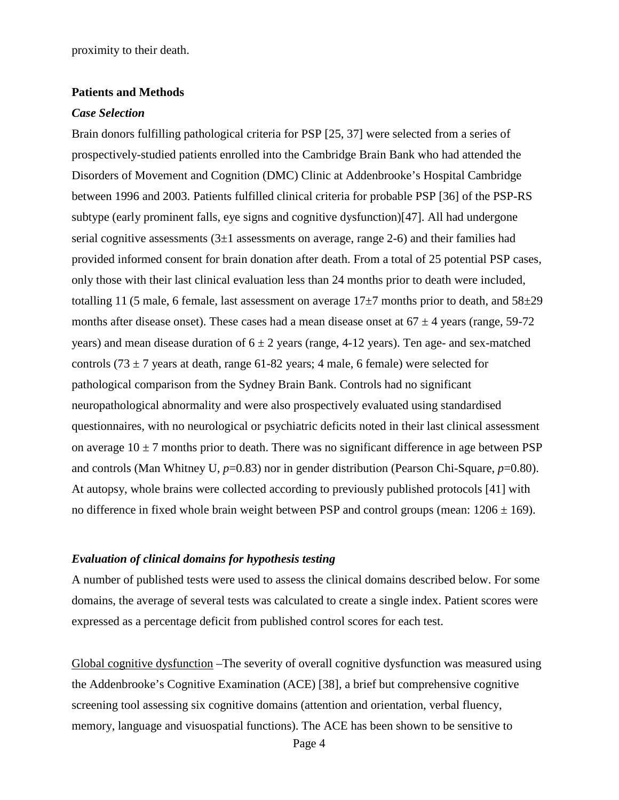proximity to their death.

#### **Patients and Methods**

#### *Case Selection*

Brain donors fulfilling pathological criteria for PSP [25, 37] were selected from a series of prospectively-studied patients enrolled into the Cambridge Brain Bank who had attended the Disorders of Movement and Cognition (DMC) Clinic at Addenbrooke's Hospital Cambridge between 1996 and 2003. Patients fulfilled clinical criteria for probable PSP [36] of the PSP-RS subtype (early prominent falls, eye signs and cognitive dysfunction)[47]. All had undergone serial cognitive assessments  $(3\pm 1)$  assessments on average, range 2-6) and their families had provided informed consent for brain donation after death. From a total of 25 potential PSP cases, only those with their last clinical evaluation less than 24 months prior to death were included, totalling 11 (5 male, 6 female, last assessment on average  $17\pm7$  months prior to death, and  $58\pm29$ months after disease onset). These cases had a mean disease onset at  $67 \pm 4$  years (range, 59-72) years) and mean disease duration of  $6 \pm 2$  years (range, 4-12 years). Ten age- and sex-matched controls (73  $\pm$  7 years at death, range 61-82 years; 4 male, 6 female) were selected for pathological comparison from the Sydney Brain Bank. Controls had no significant neuropathological abnormality and were also prospectively evaluated using standardised questionnaires, with no neurological or psychiatric deficits noted in their last clinical assessment on average  $10 \pm 7$  months prior to death. There was no significant difference in age between PSP and controls (Man Whitney U, *p*=0.83) nor in gender distribution (Pearson Chi-Square, *p*=0.80). At autopsy, whole brains were collected according to previously published protocols [41] with no difference in fixed whole brain weight between PSP and control groups (mean:  $1206 \pm 169$ ).

#### *Evaluation of clinical domains for hypothesis testing*

A number of published tests were used to assess the clinical domains described below. For some domains, the average of several tests was calculated to create a single index. Patient scores were expressed as a percentage deficit from published control scores for each test.

Global cognitive dysfunction –The severity of overall cognitive dysfunction was measured using the Addenbrooke's Cognitive Examination (ACE) [38], a brief but comprehensive cognitive screening tool assessing six cognitive domains (attention and orientation, verbal fluency, memory, language and visuospatial functions). The ACE has been shown to be sensitive to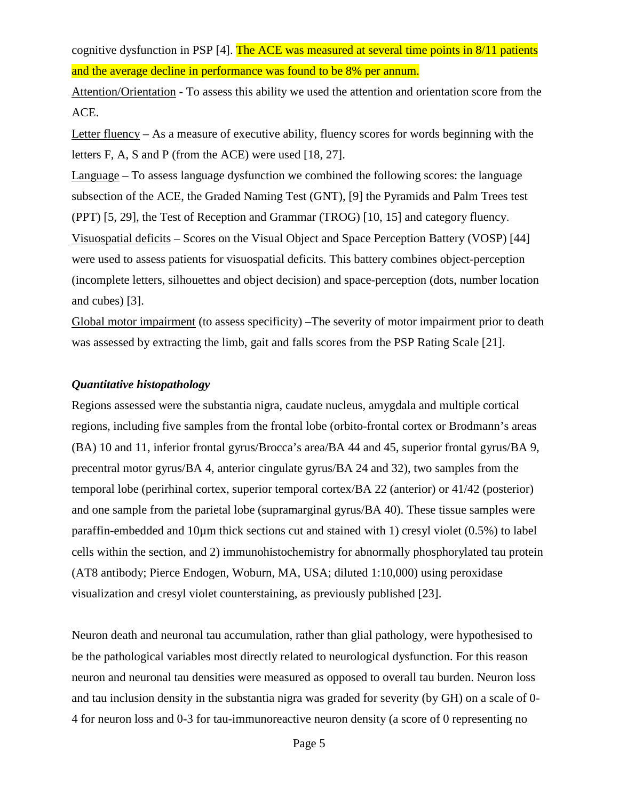cognitive dysfunction in PSP [4]. The ACE was measured at several time points in 8/11 patients and the average decline in performance was found to be 8% per annum.

Attention/Orientation - To assess this ability we used the attention and orientation score from the ACE.

Letter fluency – As a measure of executive ability, fluency scores for words beginning with the letters F, A, S and P (from the ACE) were used [18, 27].

Language – To assess language dysfunction we combined the following scores: the language subsection of the ACE, the Graded Naming Test (GNT), [9] the Pyramids and Palm Trees test (PPT) [5, 29], the Test of Reception and Grammar (TROG) [10, 15] and category fluency. Visuospatial deficits – Scores on the Visual Object and Space Perception Battery (VOSP) [44] were used to assess patients for visuospatial deficits. This battery combines object-perception (incomplete letters, silhouettes and object decision) and space-perception (dots, number location and cubes) [3].

Global motor impairment (to assess specificity) – The severity of motor impairment prior to death was assessed by extracting the limb, gait and falls scores from the PSP Rating Scale [21].

### *Quantitative histopathology*

Regions assessed were the substantia nigra, caudate nucleus, amygdala and multiple cortical regions, including five samples from the frontal lobe (orbito-frontal cortex or Brodmann's areas (BA) 10 and 11, inferior frontal gyrus/Brocca's area/BA 44 and 45, superior frontal gyrus/BA 9, precentral motor gyrus/BA 4, anterior cingulate gyrus/BA 24 and 32), two samples from the temporal lobe (perirhinal cortex, superior temporal cortex/BA 22 (anterior) or 41/42 (posterior) and one sample from the parietal lobe (supramarginal gyrus/BA 40). These tissue samples were paraffin-embedded and 10µm thick sections cut and stained with 1) cresyl violet (0.5%) to label cells within the section, and 2) immunohistochemistry for abnormally phosphorylated tau protein (AT8 antibody; Pierce Endogen, Woburn, MA, USA; diluted 1:10,000) using peroxidase visualization and cresyl violet counterstaining, as previously published [23].

Neuron death and neuronal tau accumulation, rather than glial pathology, were hypothesised to be the pathological variables most directly related to neurological dysfunction. For this reason neuron and neuronal tau densities were measured as opposed to overall tau burden. Neuron loss and tau inclusion density in the substantia nigra was graded for severity (by GH) on a scale of 0- 4 for neuron loss and 0-3 for tau-immunoreactive neuron density (a score of 0 representing no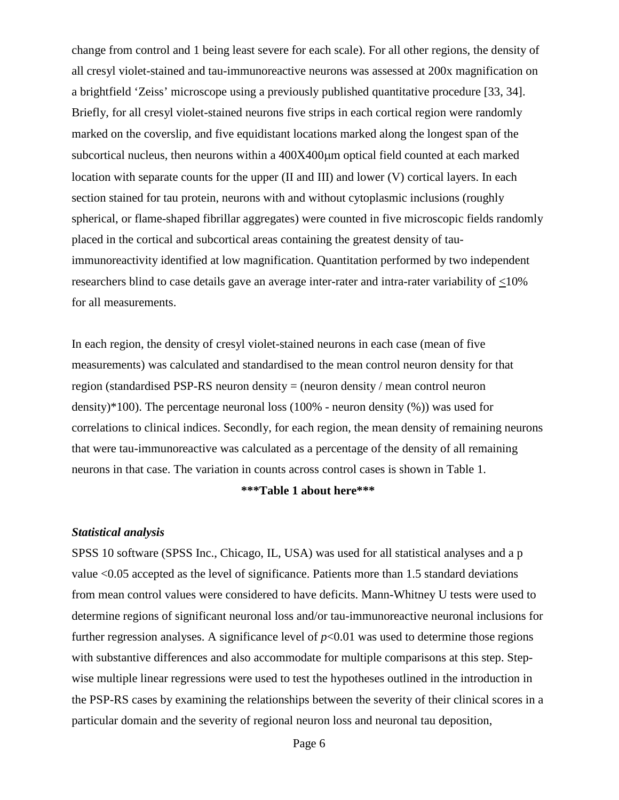change from control and 1 being least severe for each scale). For all other regions, the density of all cresyl violet-stained and tau-immunoreactive neurons was assessed at 200x magnification on a brightfield 'Zeiss' microscope using a previously published quantitative procedure [33, 34]. Briefly, for all cresyl violet-stained neurons five strips in each cortical region were randomly marked on the coverslip, and five equidistant locations marked along the longest span of the subcortical nucleus, then neurons within a 400X400 $\mu$ m optical field counted at each marked location with separate counts for the upper (II and III) and lower (V) cortical layers. In each section stained for tau protein, neurons with and without cytoplasmic inclusions (roughly spherical, or flame-shaped fibrillar aggregates) were counted in five microscopic fields randomly placed in the cortical and subcortical areas containing the greatest density of tauimmunoreactivity identified at low magnification. Quantitation performed by two independent researchers blind to case details gave an average inter-rater and intra-rater variability of <10% for all measurements.

In each region, the density of cresyl violet-stained neurons in each case (mean of five measurements) was calculated and standardised to the mean control neuron density for that region (standardised PSP-RS neuron density = (neuron density / mean control neuron density)\*100). The percentage neuronal loss (100% - neuron density (%)) was used for correlations to clinical indices. Secondly, for each region, the mean density of remaining neurons that were tau-immunoreactive was calculated as a percentage of the density of all remaining neurons in that case. The variation in counts across control cases is shown in Table 1.

### **\*\*\*Table 1 about here\*\*\***

#### *Statistical analysis*

SPSS 10 software (SPSS Inc., Chicago, IL, USA) was used for all statistical analyses and a p value <0.05 accepted as the level of significance. Patients more than 1.5 standard deviations from mean control values were considered to have deficits. Mann-Whitney U tests were used to determine regions of significant neuronal loss and/or tau-immunoreactive neuronal inclusions for further regression analyses. A significance level of  $p<0.01$  was used to determine those regions with substantive differences and also accommodate for multiple comparisons at this step. Stepwise multiple linear regressions were used to test the hypotheses outlined in the introduction in the PSP-RS cases by examining the relationships between the severity of their clinical scores in a particular domain and the severity of regional neuron loss and neuronal tau deposition,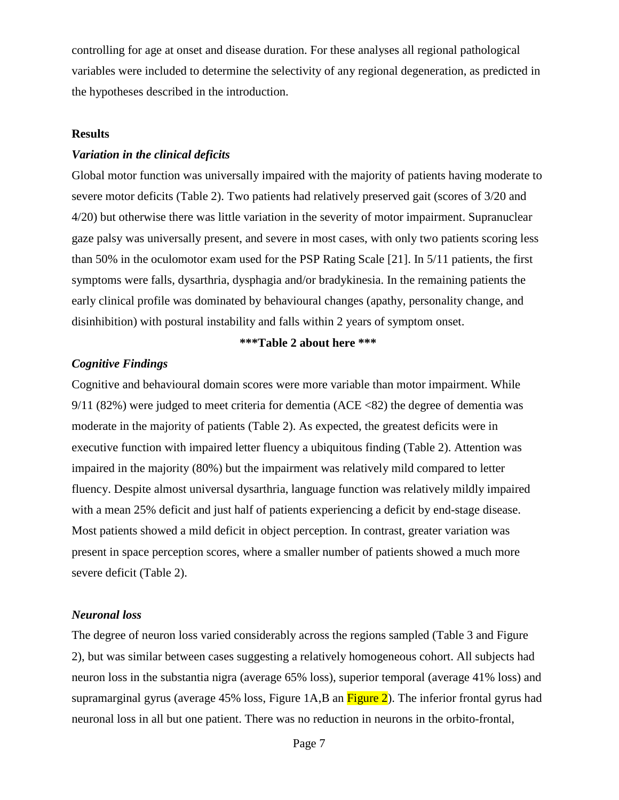controlling for age at onset and disease duration. For these analyses all regional pathological variables were included to determine the selectivity of any regional degeneration, as predicted in the hypotheses described in the introduction.

### **Results**

#### *Variation in the clinical deficits*

Global motor function was universally impaired with the majority of patients having moderate to severe motor deficits (Table 2). Two patients had relatively preserved gait (scores of 3/20 and 4/20) but otherwise there was little variation in the severity of motor impairment. Supranuclear gaze palsy was universally present, and severe in most cases, with only two patients scoring less than 50% in the oculomotor exam used for the PSP Rating Scale [21]. In 5/11 patients, the first symptoms were falls, dysarthria, dysphagia and/or bradykinesia. In the remaining patients the early clinical profile was dominated by behavioural changes (apathy, personality change, and disinhibition) with postural instability and falls within 2 years of symptom onset.

#### **\*\*\*Table 2 about here \*\*\***

#### *Cognitive Findings*

Cognitive and behavioural domain scores were more variable than motor impairment. While 9/11 (82%) were judged to meet criteria for dementia (ACE <82) the degree of dementia was moderate in the majority of patients (Table 2). As expected, the greatest deficits were in executive function with impaired letter fluency a ubiquitous finding (Table 2). Attention was impaired in the majority (80%) but the impairment was relatively mild compared to letter fluency. Despite almost universal dysarthria, language function was relatively mildly impaired with a mean 25% deficit and just half of patients experiencing a deficit by end-stage disease. Most patients showed a mild deficit in object perception. In contrast, greater variation was present in space perception scores, where a smaller number of patients showed a much more severe deficit (Table 2).

#### *Neuronal loss*

The degree of neuron loss varied considerably across the regions sampled (Table 3 and Figure 2), but was similar between cases suggesting a relatively homogeneous cohort. All subjects had neuron loss in the substantia nigra (average 65% loss), superior temporal (average 41% loss) and supramarginal gyrus (average  $45\%$  loss, Figure 1A, B an Figure 2). The inferior frontal gyrus had neuronal loss in all but one patient. There was no reduction in neurons in the orbito-frontal,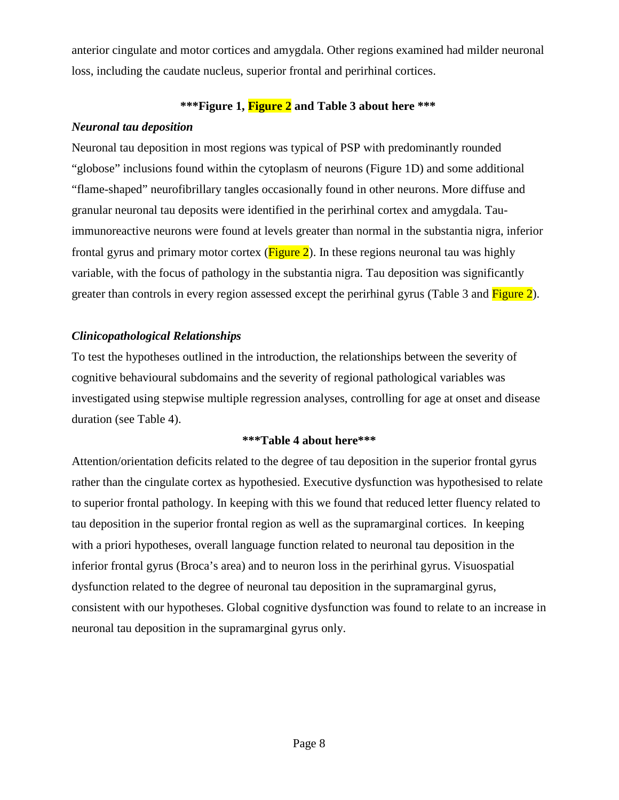anterior cingulate and motor cortices and amygdala. Other regions examined had milder neuronal loss, including the caudate nucleus, superior frontal and perirhinal cortices.

## **\*\*\*Figure 1, Figure 2 and Table 3 about here \*\*\***

## *Neuronal tau deposition*

Neuronal tau deposition in most regions was typical of PSP with predominantly rounded "globose" inclusions found within the cytoplasm of neurons (Figure 1D) and some additional "flame-shaped" neurofibrillary tangles occasionally found in other neurons. More diffuse and granular neuronal tau deposits were identified in the perirhinal cortex and amygdala. Tauimmunoreactive neurons were found at levels greater than normal in the substantia nigra, inferior frontal gyrus and primary motor cortex ( $\frac{Figure 2}{2}$ ). In these regions neuronal tau was highly variable, with the focus of pathology in the substantia nigra. Tau deposition was significantly greater than controls in every region assessed except the perirhinal gyrus (Table 3 and Figure 2).

## *Clinicopathological Relationships*

To test the hypotheses outlined in the introduction, the relationships between the severity of cognitive behavioural subdomains and the severity of regional pathological variables was investigated using stepwise multiple regression analyses, controlling for age at onset and disease duration (see Table 4).

## **\*\*\*Table 4 about here\*\*\***

Attention/orientation deficits related to the degree of tau deposition in the superior frontal gyrus rather than the cingulate cortex as hypothesied. Executive dysfunction was hypothesised to relate to superior frontal pathology. In keeping with this we found that reduced letter fluency related to tau deposition in the superior frontal region as well as the supramarginal cortices. In keeping with a priori hypotheses, overall language function related to neuronal tau deposition in the inferior frontal gyrus (Broca's area) and to neuron loss in the perirhinal gyrus. Visuospatial dysfunction related to the degree of neuronal tau deposition in the supramarginal gyrus, consistent with our hypotheses. Global cognitive dysfunction was found to relate to an increase in neuronal tau deposition in the supramarginal gyrus only.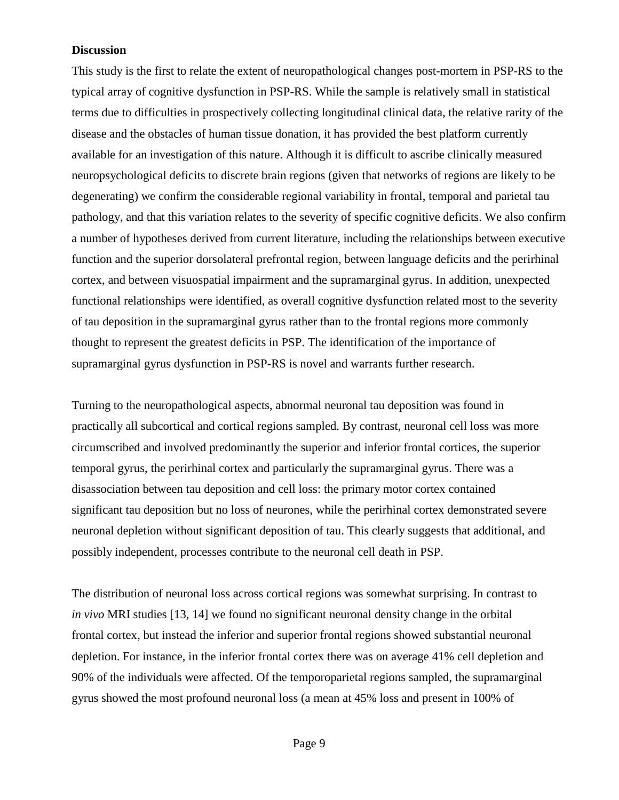### **Discussion**

This study is the first to relate the extent of neuropathological changes post-mortem in PSP-RS to the typical array of cognitive dysfunction in PSP-RS. While the sample is relatively small in statistical terms due to difficulties in prospectively collecting longitudinal clinical data, the relative rarity of the disease and the obstacles of human tissue donation, it has provided the best platform currently available for an investigation of this nature. Although it is difficult to ascribe clinically measured neuropsychological deficits to discrete brain regions (given that networks of regions are likely to be degenerating) we confirm the considerable regional variability in frontal, temporal and parietal tau pathology, and that this variation relates to the severity of specific cognitive deficits. We also confirm a number of hypotheses derived from current literature, including the relationships between executive function and the superior dorsolateral prefrontal region, between language deficits and the perirhinal cortex, and between visuospatial impairment and the supramarginal gyrus. In addition, unexpected functional relationships were identified, as overall cognitive dysfunction related most to the severity of tau deposition in the supramarginal gyrus rather than to the frontal regions more commonly thought to represent the greatest deficits in PSP. The identification of the importance of supramarginal gyrus dysfunction in PSP-RS is novel and warrants further research.

Turning to the neuropathological aspects, abnormal neuronal tau deposition was found in practically all subcortical and cortical regions sampled. By contrast, neuronal cell loss was more circumscribed and involved predominantly the superior and inferior frontal cortices, the superior temporal gyrus, the perirhinal cortex and particularly the supramarginal gyrus. There was a disassociation between tau deposition and cell loss: the primary motor cortex contained significant tau deposition but no loss of neurones, while the perirhinal cortex demonstrated severe neuronal depletion without significant deposition of tau. This clearly suggests that additional, and possibly independent, processes contribute to the neuronal cell death in PSP.

The distribution of neuronal loss across cortical regions was somewhat surprising. In contrast to *in vivo* MRI studies [13, 14] we found no significant neuronal density change in the orbital frontal cortex, but instead the inferior and superior frontal regions showed substantial neuronal depletion. For instance, in the inferior frontal cortex there was on average 41% cell depletion and 90% of the individuals were affected. Of the temporoparietal regions sampled, the supramarginal gyrus showed the most profound neuronal loss (a mean at 45% loss and present in 100% of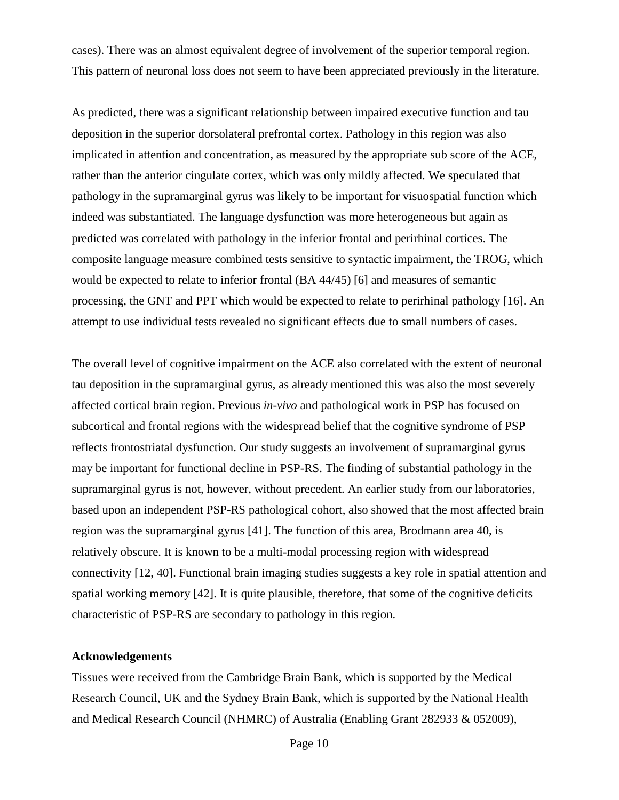cases). There was an almost equivalent degree of involvement of the superior temporal region. This pattern of neuronal loss does not seem to have been appreciated previously in the literature.

As predicted, there was a significant relationship between impaired executive function and tau deposition in the superior dorsolateral prefrontal cortex. Pathology in this region was also implicated in attention and concentration, as measured by the appropriate sub score of the ACE, rather than the anterior cingulate cortex, which was only mildly affected. We speculated that pathology in the supramarginal gyrus was likely to be important for visuospatial function which indeed was substantiated. The language dysfunction was more heterogeneous but again as predicted was correlated with pathology in the inferior frontal and perirhinal cortices. The composite language measure combined tests sensitive to syntactic impairment, the TROG, which would be expected to relate to inferior frontal (BA 44/45) [6] and measures of semantic processing, the GNT and PPT which would be expected to relate to perirhinal pathology [16]. An attempt to use individual tests revealed no significant effects due to small numbers of cases.

The overall level of cognitive impairment on the ACE also correlated with the extent of neuronal tau deposition in the supramarginal gyrus, as already mentioned this was also the most severely affected cortical brain region. Previous *in-vivo* and pathological work in PSP has focused on subcortical and frontal regions with the widespread belief that the cognitive syndrome of PSP reflects frontostriatal dysfunction. Our study suggests an involvement of supramarginal gyrus may be important for functional decline in PSP-RS. The finding of substantial pathology in the supramarginal gyrus is not, however, without precedent. An earlier study from our laboratories, based upon an independent PSP-RS pathological cohort, also showed that the most affected brain region was the supramarginal gyrus [41]. The function of this area, Brodmann area 40, is relatively obscure. It is known to be a multi-modal processing region with widespread connectivity [12, 40]. Functional brain imaging studies suggests a key role in spatial attention and spatial working memory [42]. It is quite plausible, therefore, that some of the cognitive deficits characteristic of PSP-RS are secondary to pathology in this region.

#### **Acknowledgements**

Tissues were received from the Cambridge Brain Bank, which is supported by the Medical Research Council, UK and the Sydney Brain Bank, which is supported by the National Health and Medical Research Council (NHMRC) of Australia (Enabling Grant 282933 & 052009),

Page 10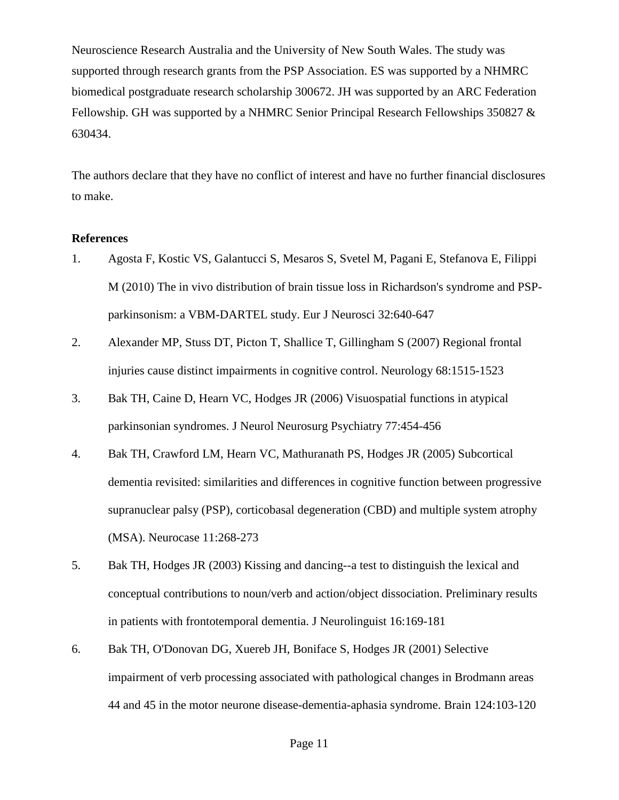Neuroscience Research Australia and the University of New South Wales. The study was supported through research grants from the PSP Association. ES was supported by a NHMRC biomedical postgraduate research scholarship 300672. JH was supported by an ARC Federation Fellowship. GH was supported by a NHMRC Senior Principal Research Fellowships 350827 & 630434.

The authors declare that they have no conflict of interest and have no further financial disclosures to make.

#### **References**

- 1. Agosta F, Kostic VS, Galantucci S, Mesaros S, Svetel M, Pagani E, Stefanova E, Filippi M (2010) The in vivo distribution of brain tissue loss in Richardson's syndrome and PSPparkinsonism: a VBM-DARTEL study. Eur J Neurosci 32:640-647
- 2. Alexander MP, Stuss DT, Picton T, Shallice T, Gillingham S (2007) Regional frontal injuries cause distinct impairments in cognitive control. Neurology 68:1515-1523
- 3. Bak TH, Caine D, Hearn VC, Hodges JR (2006) Visuospatial functions in atypical parkinsonian syndromes. J Neurol Neurosurg Psychiatry 77:454-456
- 4. Bak TH, Crawford LM, Hearn VC, Mathuranath PS, Hodges JR (2005) Subcortical dementia revisited: similarities and differences in cognitive function between progressive supranuclear palsy (PSP), corticobasal degeneration (CBD) and multiple system atrophy (MSA). Neurocase 11:268-273
- 5. Bak TH, Hodges JR (2003) Kissing and dancing--a test to distinguish the lexical and conceptual contributions to noun/verb and action/object dissociation. Preliminary results in patients with frontotemporal dementia. J Neurolinguist 16:169-181
- 6. Bak TH, O'Donovan DG, Xuereb JH, Boniface S, Hodges JR (2001) Selective impairment of verb processing associated with pathological changes in Brodmann areas 44 and 45 in the motor neurone disease-dementia-aphasia syndrome. Brain 124:103-120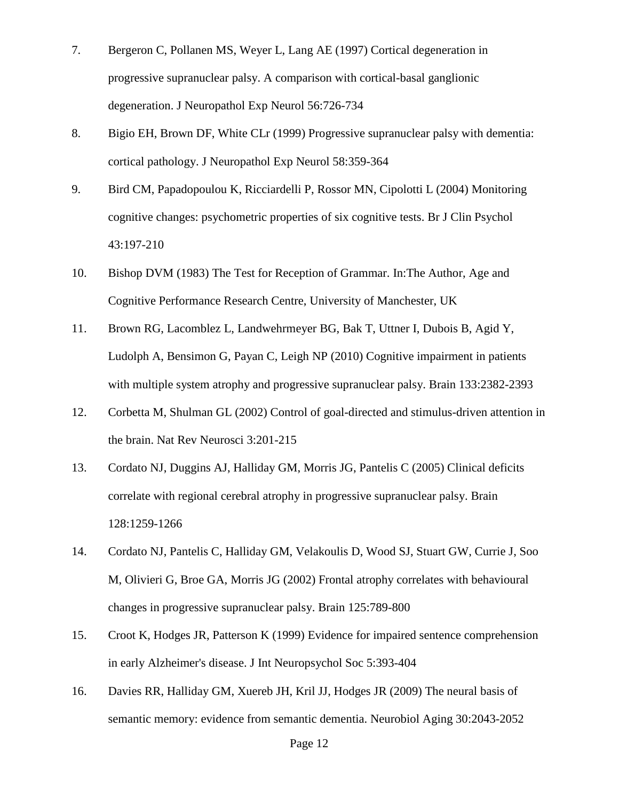- 7. Bergeron C, Pollanen MS, Weyer L, Lang AE (1997) Cortical degeneration in progressive supranuclear palsy. A comparison with cortical-basal ganglionic degeneration. J Neuropathol Exp Neurol 56:726-734
- 8. Bigio EH, Brown DF, White CLr (1999) Progressive supranuclear palsy with dementia: cortical pathology. J Neuropathol Exp Neurol 58:359-364
- 9. Bird CM, Papadopoulou K, Ricciardelli P, Rossor MN, Cipolotti L (2004) Monitoring cognitive changes: psychometric properties of six cognitive tests. Br J Clin Psychol 43:197-210
- 10. Bishop DVM (1983) The Test for Reception of Grammar. In:The Author, Age and Cognitive Performance Research Centre, University of Manchester, UK
- 11. Brown RG, Lacomblez L, Landwehrmeyer BG, Bak T, Uttner I, Dubois B, Agid Y, Ludolph A, Bensimon G, Payan C, Leigh NP (2010) Cognitive impairment in patients with multiple system atrophy and progressive supranuclear palsy. Brain 133:2382-2393
- 12. Corbetta M, Shulman GL (2002) Control of goal-directed and stimulus-driven attention in the brain. Nat Rev Neurosci 3:201-215
- 13. Cordato NJ, Duggins AJ, Halliday GM, Morris JG, Pantelis C (2005) Clinical deficits correlate with regional cerebral atrophy in progressive supranuclear palsy. Brain 128:1259-1266
- 14. Cordato NJ, Pantelis C, Halliday GM, Velakoulis D, Wood SJ, Stuart GW, Currie J, Soo M, Olivieri G, Broe GA, Morris JG (2002) Frontal atrophy correlates with behavioural changes in progressive supranuclear palsy. Brain 125:789-800
- 15. Croot K, Hodges JR, Patterson K (1999) Evidence for impaired sentence comprehension in early Alzheimer's disease. J Int Neuropsychol Soc 5:393-404
- 16. Davies RR, Halliday GM, Xuereb JH, Kril JJ, Hodges JR (2009) The neural basis of semantic memory: evidence from semantic dementia. Neurobiol Aging 30:2043-2052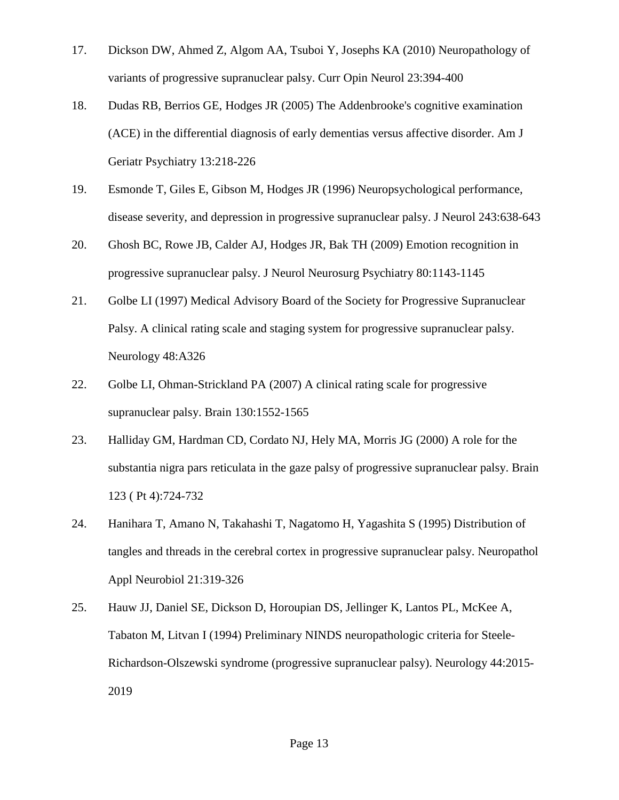- 17. Dickson DW, Ahmed Z, Algom AA, Tsuboi Y, Josephs KA (2010) Neuropathology of variants of progressive supranuclear palsy. Curr Opin Neurol 23:394-400
- 18. Dudas RB, Berrios GE, Hodges JR (2005) The Addenbrooke's cognitive examination (ACE) in the differential diagnosis of early dementias versus affective disorder. Am J Geriatr Psychiatry 13:218-226
- 19. Esmonde T, Giles E, Gibson M, Hodges JR (1996) Neuropsychological performance, disease severity, and depression in progressive supranuclear palsy. J Neurol 243:638-643
- 20. Ghosh BC, Rowe JB, Calder AJ, Hodges JR, Bak TH (2009) Emotion recognition in progressive supranuclear palsy. J Neurol Neurosurg Psychiatry 80:1143-1145
- 21. Golbe LI (1997) Medical Advisory Board of the Society for Progressive Supranuclear Palsy. A clinical rating scale and staging system for progressive supranuclear palsy. Neurology 48:A326
- 22. Golbe LI, Ohman-Strickland PA (2007) A clinical rating scale for progressive supranuclear palsy. Brain 130:1552-1565
- 23. Halliday GM, Hardman CD, Cordato NJ, Hely MA, Morris JG (2000) A role for the substantia nigra pars reticulata in the gaze palsy of progressive supranuclear palsy. Brain 123 ( Pt 4):724-732
- 24. Hanihara T, Amano N, Takahashi T, Nagatomo H, Yagashita S (1995) Distribution of tangles and threads in the cerebral cortex in progressive supranuclear palsy. Neuropathol Appl Neurobiol 21:319-326
- 25. Hauw JJ, Daniel SE, Dickson D, Horoupian DS, Jellinger K, Lantos PL, McKee A, Tabaton M, Litvan I (1994) Preliminary NINDS neuropathologic criteria for Steele-Richardson-Olszewski syndrome (progressive supranuclear palsy). Neurology 44:2015- 2019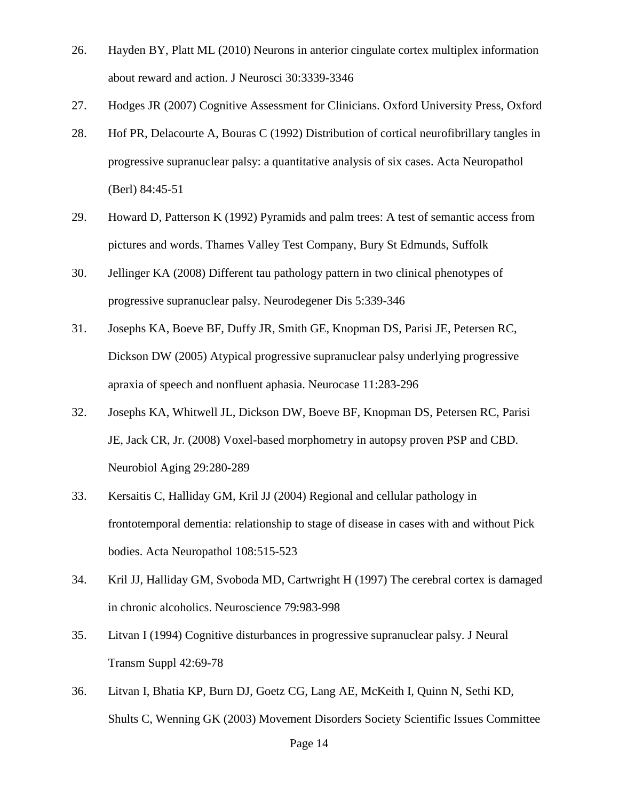- 26. Hayden BY, Platt ML (2010) Neurons in anterior cingulate cortex multiplex information about reward and action. J Neurosci 30:3339-3346
- 27. Hodges JR (2007) Cognitive Assessment for Clinicians. Oxford University Press, Oxford
- 28. Hof PR, Delacourte A, Bouras C (1992) Distribution of cortical neurofibrillary tangles in progressive supranuclear palsy: a quantitative analysis of six cases. Acta Neuropathol (Berl) 84:45-51
- 29. Howard D, Patterson K (1992) Pyramids and palm trees: A test of semantic access from pictures and words. Thames Valley Test Company, Bury St Edmunds, Suffolk
- 30. Jellinger KA (2008) Different tau pathology pattern in two clinical phenotypes of progressive supranuclear palsy. Neurodegener Dis 5:339-346
- 31. Josephs KA, Boeve BF, Duffy JR, Smith GE, Knopman DS, Parisi JE, Petersen RC, Dickson DW (2005) Atypical progressive supranuclear palsy underlying progressive apraxia of speech and nonfluent aphasia. Neurocase 11:283-296
- 32. Josephs KA, Whitwell JL, Dickson DW, Boeve BF, Knopman DS, Petersen RC, Parisi JE, Jack CR, Jr. (2008) Voxel-based morphometry in autopsy proven PSP and CBD. Neurobiol Aging 29:280-289
- 33. Kersaitis C, Halliday GM, Kril JJ (2004) Regional and cellular pathology in frontotemporal dementia: relationship to stage of disease in cases with and without Pick bodies. Acta Neuropathol 108:515-523
- 34. Kril JJ, Halliday GM, Svoboda MD, Cartwright H (1997) The cerebral cortex is damaged in chronic alcoholics. Neuroscience 79:983-998
- 35. Litvan I (1994) Cognitive disturbances in progressive supranuclear palsy. J Neural Transm Suppl 42:69-78
- 36. Litvan I, Bhatia KP, Burn DJ, Goetz CG, Lang AE, McKeith I, Quinn N, Sethi KD, Shults C, Wenning GK (2003) Movement Disorders Society Scientific Issues Committee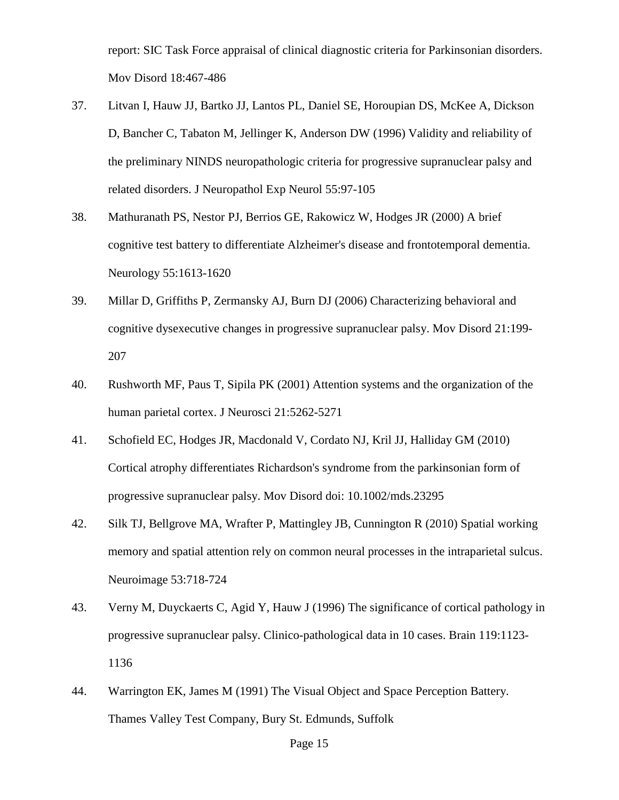report: SIC Task Force appraisal of clinical diagnostic criteria for Parkinsonian disorders. Mov Disord 18:467-486

- 37. Litvan I, Hauw JJ, Bartko JJ, Lantos PL, Daniel SE, Horoupian DS, McKee A, Dickson D, Bancher C, Tabaton M, Jellinger K, Anderson DW (1996) Validity and reliability of the preliminary NINDS neuropathologic criteria for progressive supranuclear palsy and related disorders. J Neuropathol Exp Neurol 55:97-105
- 38. Mathuranath PS, Nestor PJ, Berrios GE, Rakowicz W, Hodges JR (2000) A brief cognitive test battery to differentiate Alzheimer's disease and frontotemporal dementia. Neurology 55:1613-1620
- 39. Millar D, Griffiths P, Zermansky AJ, Burn DJ (2006) Characterizing behavioral and cognitive dysexecutive changes in progressive supranuclear palsy. Mov Disord 21:199- 207
- 40. Rushworth MF, Paus T, Sipila PK (2001) Attention systems and the organization of the human parietal cortex. J Neurosci 21:5262-5271
- 41. Schofield EC, Hodges JR, Macdonald V, Cordato NJ, Kril JJ, Halliday GM (2010) Cortical atrophy differentiates Richardson's syndrome from the parkinsonian form of progressive supranuclear palsy. Mov Disord doi: 10.1002/mds.23295
- 42. Silk TJ, Bellgrove MA, Wrafter P, Mattingley JB, Cunnington R (2010) Spatial working memory and spatial attention rely on common neural processes in the intraparietal sulcus. Neuroimage 53:718-724
- 43. Verny M, Duyckaerts C, Agid Y, Hauw J (1996) The significance of cortical pathology in progressive supranuclear palsy. Clinico-pathological data in 10 cases. Brain 119:1123- 1136
- 44. Warrington EK, James M (1991) The Visual Object and Space Perception Battery. Thames Valley Test Company, Bury St. Edmunds, Suffolk

#### Page 15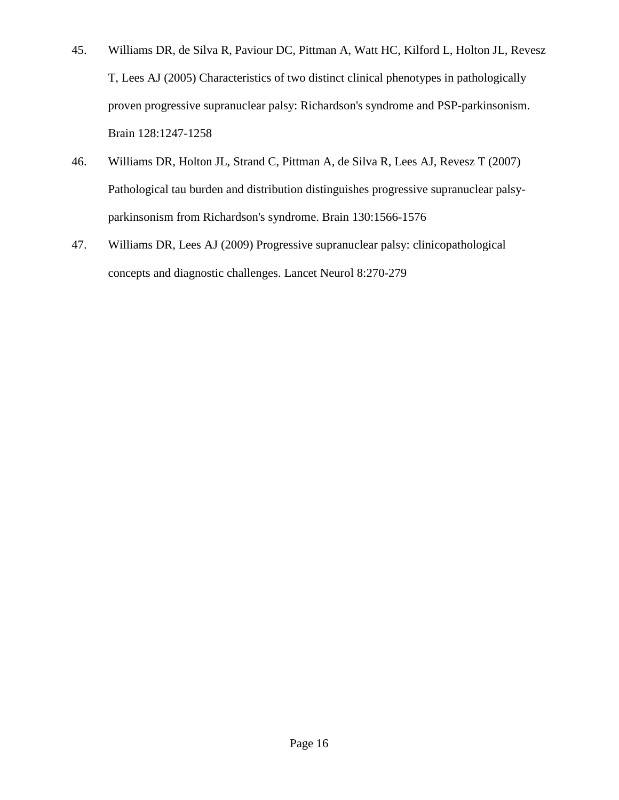- 45. Williams DR, de Silva R, Paviour DC, Pittman A, Watt HC, Kilford L, Holton JL, Revesz T, Lees AJ (2005) Characteristics of two distinct clinical phenotypes in pathologically proven progressive supranuclear palsy: Richardson's syndrome and PSP-parkinsonism. Brain 128:1247-1258
- 46. Williams DR, Holton JL, Strand C, Pittman A, de Silva R, Lees AJ, Revesz T (2007) Pathological tau burden and distribution distinguishes progressive supranuclear palsyparkinsonism from Richardson's syndrome. Brain 130:1566-1576
- 47. Williams DR, Lees AJ (2009) Progressive supranuclear palsy: clinicopathological concepts and diagnostic challenges. Lancet Neurol 8:270-279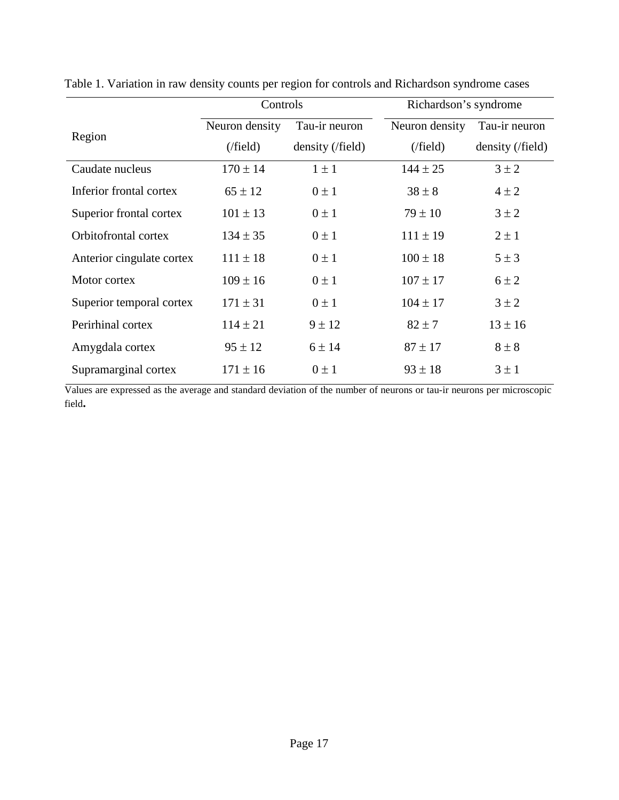|                           | Controls       |                  | Richardson's syndrome |                  |
|---------------------------|----------------|------------------|-----------------------|------------------|
| Region                    | Neuron density | Tau-ir neuron    | Neuron density        | Tau-ir neuron    |
|                           | (field)        | density (/field) | (field)               | density (/field) |
| Caudate nucleus           | $170 \pm 14$   | $1 \pm 1$        | $144 \pm 25$          | $3 \pm 2$        |
| Inferior frontal cortex   | $65 \pm 12$    | $0 \pm 1$        | $38 \pm 8$            | $4 \pm 2$        |
| Superior frontal cortex   | $101 \pm 13$   | $0 \pm 1$        | $79 \pm 10$           | $3 \pm 2$        |
| Orbitofrontal cortex      | $134 \pm 35$   | $0 \pm 1$        | $111 \pm 19$          | $2 \pm 1$        |
| Anterior cingulate cortex | $111 \pm 18$   | $0 \pm 1$        | $100 \pm 18$          | $5 \pm 3$        |
| Motor cortex              | $109 \pm 16$   | $0 \pm 1$        | $107 \pm 17$          | $6 \pm 2$        |
| Superior temporal cortex  | $171 \pm 31$   | $0 \pm 1$        | $104 \pm 17$          | $3 \pm 2$        |
| Perirhinal cortex         | $114 \pm 21$   | $9 \pm 12$       | $82 \pm 7$            | $13 \pm 16$      |
| Amygdala cortex           | $95 \pm 12$    | $6 \pm 14$       | $87 \pm 17$           | $8 \pm 8$        |
| Supramarginal cortex      | $171 \pm 16$   | $0 \pm 1$        | $93 \pm 18$           | $3 \pm 1$        |

Table 1. Variation in raw density counts per region for controls and Richardson syndrome cases

Values are expressed as the average and standard deviation of the number of neurons or tau-ir neurons per microscopic field**.**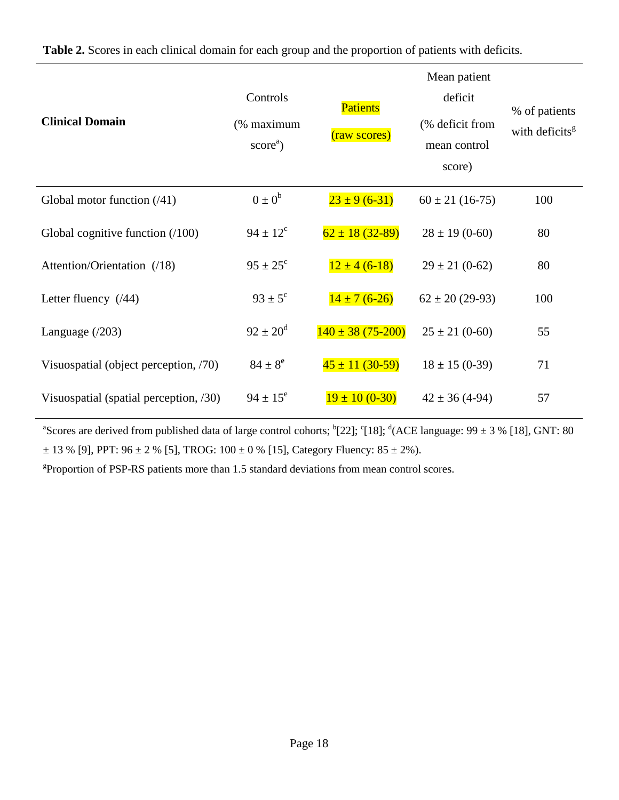| <b>Clinical Domain</b>                 | Controls<br>(% maximum<br>$scorea$ ) | <b>Patients</b><br>(raw scores) | Mean patient<br>deficit<br>(% deficit from<br>mean control<br>score) | % of patients<br>with deficits <sup>g</sup> |
|----------------------------------------|--------------------------------------|---------------------------------|----------------------------------------------------------------------|---------------------------------------------|
| Global motor function $(41)$           | $0 \pm 0^b$                          | $23 \pm 9(6-31)$                | $60 \pm 21$ (16-75)                                                  | 100                                         |
| Global cognitive function $(100)$      | $94 \pm 12^{\circ}$                  | $62 \pm 18 (32 - 89)$           | $28 \pm 19(0-60)$                                                    | 80                                          |
| Attention/Orientation (/18)            | $95 \pm 25^{\circ}$                  | $12 \pm 4 (6-18)$               | $29 \pm 21 (0 - 62)$                                                 | 80                                          |
| Letter fluency $(44)$                  | $93 \pm 5^{\circ}$                   | $14 \pm 7(6-26)$                | $62 \pm 20$ (29-93)                                                  | 100                                         |
| Language $(203)$                       | $92 \pm 20^{\rm d}$                  | $140 \pm 38 (75 - 200)$         | $25 \pm 21 (0 - 60)$                                                 | 55                                          |
| Visuospatial (object perception, /70)  | $84 \pm 8^e$                         | $\frac{45 \pm 11}{(30-59)}$     | $18 \pm 15 (0-39)$                                                   | 71                                          |
| Visuospatial (spatial perception, /30) | $94 \pm 15^{\circ}$                  | $19 \pm 10 (0 - 30)$            | $42 \pm 36(4-94)$                                                    | 57                                          |

**Table 2.** Scores in each clinical domain for each group and the proportion of patients with deficits.

<sup>a</sup>Scores are derived from published data of large control cohorts;  ${}^{\text{b}}$ [22];  ${}^{\text{c}}$ [18];  ${}^{\text{d}}$ (ACE language: 99 ± 3 % [18], GNT: 80  $\pm$  13 % [9], PPT: 96  $\pm$  2 % [5], TROG: 100  $\pm$  0 % [15], Category Fluency: 85  $\pm$  2%).

<sup>g</sup>Proportion of PSP-RS patients more than 1.5 standard deviations from mean control scores.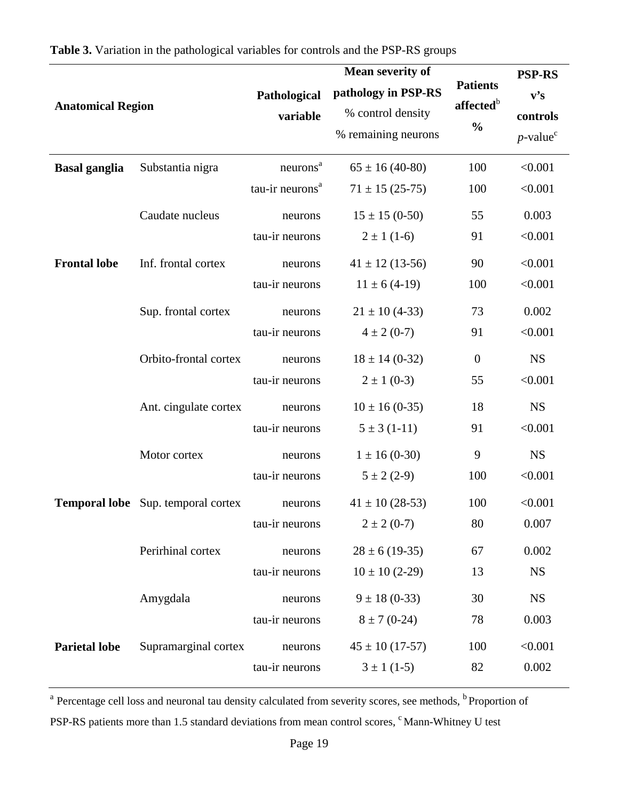|                          |                                           |                             | <b>Mean severity of</b> |                       | <b>PSP-RS</b>           |
|--------------------------|-------------------------------------------|-----------------------------|-------------------------|-----------------------|-------------------------|
| <b>Anatomical Region</b> |                                           | Pathological                | pathology in PSP-RS     | <b>Patients</b>       | v's                     |
|                          |                                           | variable                    | % control density       | affected <sup>b</sup> | controls                |
|                          |                                           |                             | % remaining neurons     | $\frac{0}{0}$         | $p$ -value <sup>c</sup> |
| <b>Basal ganglia</b>     | Substantia nigra                          | neurons <sup>a</sup>        | $65 \pm 16 (40 - 80)$   | 100                   | < 0.001                 |
|                          |                                           | tau-ir neurons <sup>a</sup> | $71 \pm 15 (25-75)$     | 100                   | < 0.001                 |
|                          | Caudate nucleus                           | neurons                     | $15 \pm 15 (0-50)$      | 55                    | 0.003                   |
|                          |                                           | tau-ir neurons              | $2 \pm 1(1-6)$          | 91                    | < 0.001                 |
| <b>Frontal lobe</b>      | Inf. frontal cortex                       | neurons                     | $41 \pm 12$ (13-56)     | 90                    | < 0.001                 |
|                          |                                           | tau-ir neurons              | $11 \pm 6(4-19)$        | 100                   | < 0.001                 |
|                          | Sup. frontal cortex                       | neurons                     | $21 \pm 10$ (4-33)      | 73                    | 0.002                   |
|                          |                                           | tau-ir neurons              | $4 \pm 2 (0-7)$         | 91                    | < 0.001                 |
|                          | Orbito-frontal cortex                     | neurons                     | $18 \pm 14$ (0-32)      | $\boldsymbol{0}$      | <b>NS</b>               |
|                          |                                           | tau-ir neurons              | $2 \pm 1$ (0-3)         | 55                    | < 0.001                 |
|                          | Ant. cingulate cortex                     | neurons                     | $10 \pm 16 (0-35)$      | 18                    | <b>NS</b>               |
|                          |                                           | tau-ir neurons              | $5 \pm 3(1-11)$         | 91                    | < 0.001                 |
|                          | Motor cortex                              | neurons                     | $1 \pm 16(0-30)$        | 9                     | <b>NS</b>               |
|                          |                                           | tau-ir neurons              | $5 \pm 2(2-9)$          | 100                   | < 0.001                 |
|                          | <b>Temporal lobe</b> Sup. temporal cortex | neurons                     | $41 \pm 10(28-53)$      | 100                   | < 0.001                 |
|                          |                                           | tau-ir neurons              | $2 \pm 2 (0-7)$         | 80                    | 0.007                   |
|                          | Perirhinal cortex                         | neurons                     | $28 \pm 6$ (19-35)      | 67                    | 0.002                   |
|                          |                                           | tau-ir neurons              | $10 \pm 10$ (2-29)      | 13                    | <b>NS</b>               |
|                          | Amygdala                                  | neurons                     | $9 \pm 18(0-33)$        | 30                    | <b>NS</b>               |
|                          |                                           | tau-ir neurons              | $8 \pm 7(0-24)$         | 78                    | 0.003                   |
| <b>Parietal lobe</b>     | Supramarginal cortex                      | neurons                     | $45 \pm 10$ (17-57)     | 100                   | < 0.001                 |
|                          |                                           | tau-ir neurons              | $3 \pm 1$ (1-5)         | 82                    | 0.002                   |

<sup>a</sup> Percentage cell loss and neuronal tau density calculated from severity scores, see methods, <sup>b</sup> Proportion of

PSP-RS patients more than 1.5 standard deviations from mean control scores, <sup>c</sup>Mann-Whitney U test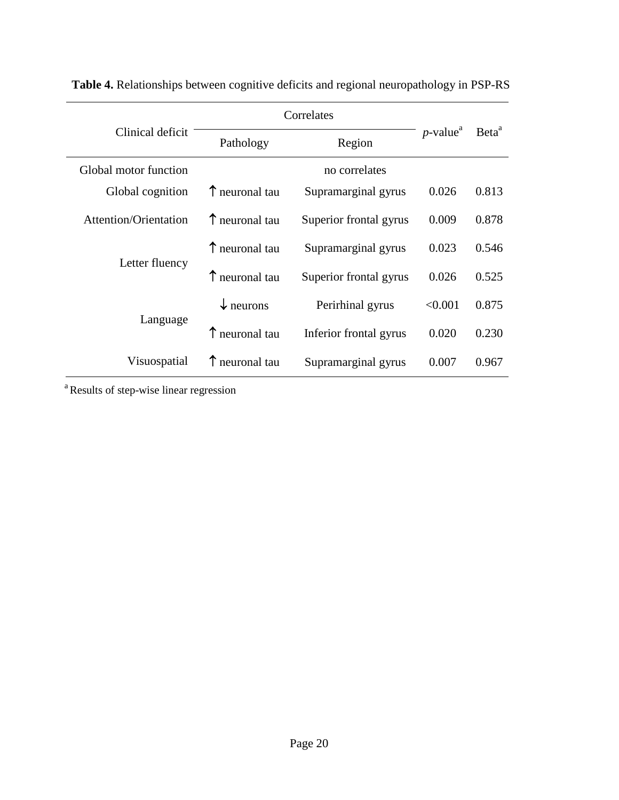|                              | Correlates              |                        |                         |                   |
|------------------------------|-------------------------|------------------------|-------------------------|-------------------|
| Clinical deficit             | Pathology               | Region                 | $p$ -value <sup>a</sup> | Beta <sup>a</sup> |
| Global motor function        |                         | no correlates          |                         |                   |
| Global cognition             | $\uparrow$ neuronal tau | Supramarginal gyrus    | 0.026                   | 0.813             |
| <b>Attention/Orientation</b> | T neuronal tau          | Superior frontal gyrus | 0.009                   | 0.878             |
|                              | T neuronal tau          | Supramarginal gyrus    | 0.023                   | 0.546             |
| Letter fluency               | T neuronal tau          | Superior frontal gyrus | 0.026                   | 0.525             |
|                              | $\downarrow$ neurons    | Perirhinal gyrus       | < 0.001                 | 0.875             |
| Language                     | T neuronal tau          | Inferior frontal gyrus | 0.020                   | 0.230             |
| Visuospatial                 | T neuronal tau          | Supramarginal gyrus    | 0.007                   | 0.967             |

**Table 4.** Relationships between cognitive deficits and regional neuropathology in PSP-RS

<sup>a</sup> Results of step-wise linear regression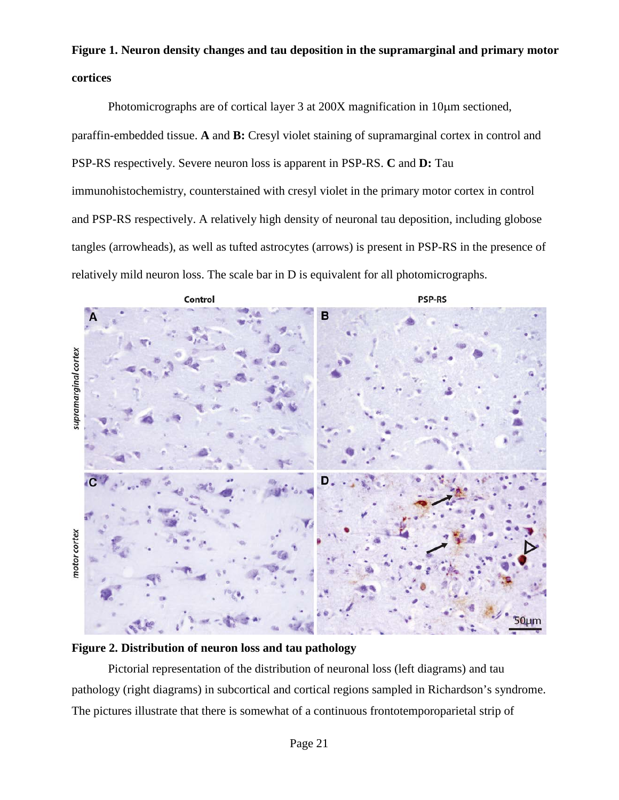# **Figure 1. Neuron density changes and tau deposition in the supramarginal and primary motor cortices**

Photomicrographs are of cortical layer 3 at 200X magnification in 10 $\mu$ m sectioned, paraffin-embedded tissue. **A** and **B:** Cresyl violet staining of supramarginal cortex in control and PSP-RS respectively. Severe neuron loss is apparent in PSP-RS. **C** and **D:** Tau immunohistochemistry, counterstained with cresyl violet in the primary motor cortex in control and PSP-RS respectively. A relatively high density of neuronal tau deposition, including globose tangles (arrowheads), as well as tufted astrocytes (arrows) is present in PSP-RS in the presence of relatively mild neuron loss. The scale bar in D is equivalent for all photomicrographs.



### **Figure 2. Distribution of neuron loss and tau pathology**

Pictorial representation of the distribution of neuronal loss (left diagrams) and tau pathology (right diagrams) in subcortical and cortical regions sampled in Richardson's syndrome. The pictures illustrate that there is somewhat of a continuous frontotemporoparietal strip of